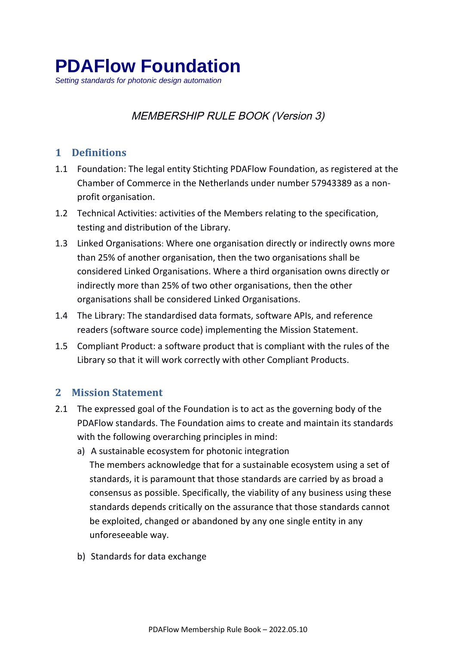*Setting standards for photonic design automation*

# MEMBERSHIP RULE BOOK (Version 3)

## **1 Definitions**

- 1.1 Foundation: The legal entity Stichting PDAFlow Foundation, as registered at the Chamber of Commerce in the Netherlands under number 57943389 as a nonprofit organisation.
- 1.2 Technical Activities: activities of the Members relating to the specification, testing and distribution of the Library.
- 1.3 Linked Organisations: Where one organisation directly or indirectly owns more than 25% of another organisation, then the two organisations shall be considered Linked Organisations. Where a third organisation owns directly or indirectly more than 25% of two other organisations, then the other organisations shall be considered Linked Organisations.
- 1.4 The Library: The standardised data formats, software APIs, and reference readers (software source code) implementing the Mission Statement.
- 1.5 Compliant Product: a software product that is compliant with the rules of the Library so that it will work correctly with other Compliant Products.

### **2 Mission Statement**

- 2.1 The expressed goal of the Foundation is to act as the governing body of the PDAFlow standards. The Foundation aims to create and maintain its standards with the following overarching principles in mind:
	- a) A sustainable ecosystem for photonic integration The members acknowledge that for a sustainable ecosystem using a set of standards, it is paramount that those standards are carried by as broad a consensus as possible. Specifically, the viability of any business using these standards depends critically on the assurance that those standards cannot be exploited, changed or abandoned by any one single entity in any unforeseeable way.
	- b) Standards for data exchange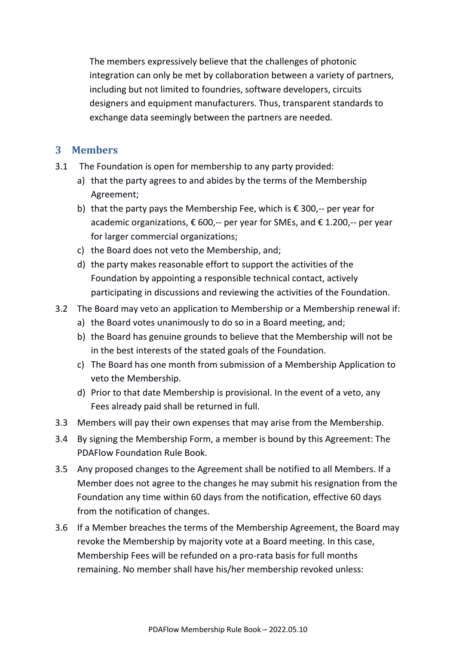The members expressively believe that the challenges of photonic integration can only be met by collaboration between a variety of partners, including but not limited to foundries, software developers, circuits designers and equipment manufacturers. Thus, transparent standards to exchange data seemingly between the partners are needed.

#### **3 Members**

- 3.1 The Foundation is open for membership to any party provided:
	- a) that the party agrees to and abides by the terms of the Membership Agreement;
	- b) that the party pays the Membership Fee, which is  $\epsilon$  300,-- per year for academic organizations,  $\epsilon$  600,-- per year for SMEs, and  $\epsilon$  1.200,-- per year for larger commercial organizations;
	- c) the Board does not veto the Membership, and;
	- d) the party makes reasonable effort to support the activities of the Foundation by appointing a responsible technical contact, actively participating in discussions and reviewing the activities of the Foundation.
- 3.2 The Board may veto an application to Membership or a Membership renewal if:
	- a) the Board votes unanimously to do so in a Board meeting, and;
	- b) the Board has genuine grounds to believe that the Membership will not be in the best interests of the stated goals of the Foundation.
	- c) The Board has one month from submission of a Membership Application to veto the Membership.
	- d) Prior to that date Membership is provisional. In the event of a veto, any Fees already paid shall be returned in full.
- 3.3 Members will pay their own expenses that may arise from the Membership.
- 3.4 By signing the Membership Form, a member is bound by this Agreement: The PDAFlow Foundation Rule Book.
- 3.5 Any proposed changes to the Agreement shall be notified to all Members. If a Member does not agree to the changes he may submit his resignation from the Foundation any time within 60 days from the notification, effective 60 days from the notification of changes.
- 3.6 If a Member breaches the terms of the Membership Agreement, the Board may revoke the Membership by majority vote at a Board meeting. In this case, Membership Fees will be refunded on a pro-rata basis for full months remaining. No member shall have his/her membership revoked unless: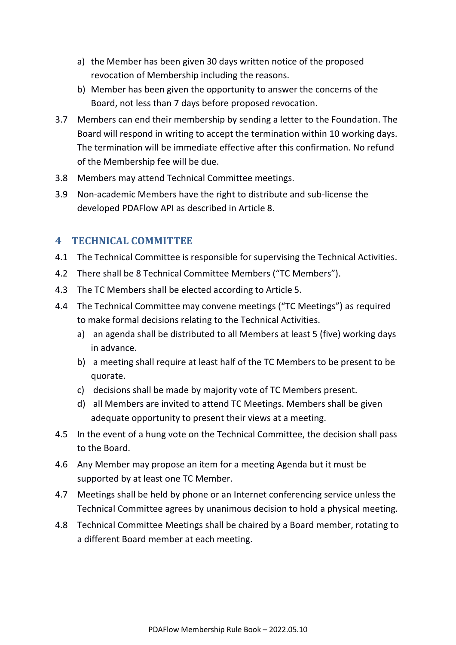- a) the Member has been given 30 days written notice of the proposed revocation of Membership including the reasons.
- b) Member has been given the opportunity to answer the concerns of the Board, not less than 7 days before proposed revocation.
- 3.7 Members can end their membership by sending a letter to the Foundation. The Board will respond in writing to accept the termination within 10 working days. The termination will be immediate effective after this confirmation. No refund of the Membership fee will be due.
- 3.8 Members may attend Technical Committee meetings.
- 3.9 Non-academic Members have the right to distribute and sub-license the developed PDAFlow API as described in Article 8.

## **4 TECHNICAL COMMITTEE**

- 4.1 The Technical Committee is responsible for supervising the Technical Activities.
- 4.2 There shall be 8 Technical Committee Members ("TC Members").
- 4.3 The TC Members shall be elected according to Article 5.
- 4.4 The Technical Committee may convene meetings ("TC Meetings") as required to make formal decisions relating to the Technical Activities.
	- a) an agenda shall be distributed to all Members at least 5 (five) working days in advance.
	- b) a meeting shall require at least half of the TC Members to be present to be quorate.
	- c) decisions shall be made by majority vote of TC Members present.
	- d) all Members are invited to attend TC Meetings. Members shall be given adequate opportunity to present their views at a meeting.
- 4.5 In the event of a hung vote on the Technical Committee, the decision shall pass to the Board.
- 4.6 Any Member may propose an item for a meeting Agenda but it must be supported by at least one TC Member.
- 4.7 Meetings shall be held by phone or an Internet conferencing service unless the Technical Committee agrees by unanimous decision to hold a physical meeting.
- 4.8 Technical Committee Meetings shall be chaired by a Board member, rotating to a different Board member at each meeting.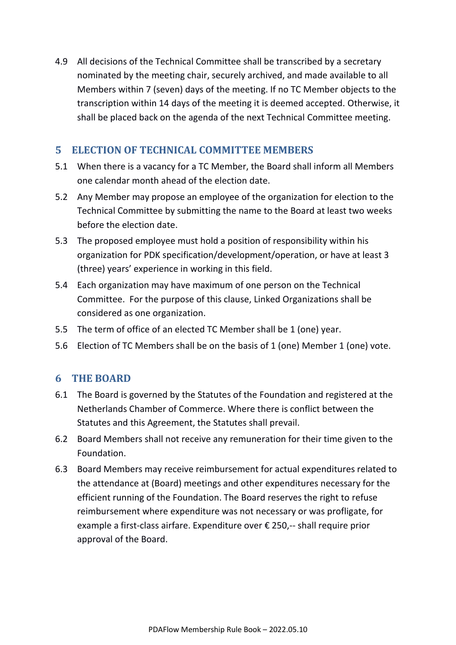4.9 All decisions of the Technical Committee shall be transcribed by a secretary nominated by the meeting chair, securely archived, and made available to all Members within 7 (seven) days of the meeting. If no TC Member objects to the transcription within 14 days of the meeting it is deemed accepted. Otherwise, it shall be placed back on the agenda of the next Technical Committee meeting.

### **5 ELECTION OF TECHNICAL COMMITTEE MEMBERS**

- 5.1 When there is a vacancy for a TC Member, the Board shall inform all Members one calendar month ahead of the election date.
- 5.2 Any Member may propose an employee of the organization for election to the Technical Committee by submitting the name to the Board at least two weeks before the election date.
- 5.3 The proposed employee must hold a position of responsibility within his organization for PDK specification/development/operation, or have at least 3 (three) years' experience in working in this field.
- 5.4 Each organization may have maximum of one person on the Technical Committee. For the purpose of this clause, Linked Organizations shall be considered as one organization.
- 5.5 The term of office of an elected TC Member shall be 1 (one) year.
- 5.6 Election of TC Members shall be on the basis of 1 (one) Member 1 (one) vote.

#### **6 THE BOARD**

- 6.1 The Board is governed by the Statutes of the Foundation and registered at the Netherlands Chamber of Commerce. Where there is conflict between the Statutes and this Agreement, the Statutes shall prevail.
- 6.2 Board Members shall not receive any remuneration for their time given to the Foundation.
- 6.3 Board Members may receive reimbursement for actual expenditures related to the attendance at (Board) meetings and other expenditures necessary for the efficient running of the Foundation. The Board reserves the right to refuse reimbursement where expenditure was not necessary or was profligate, for example a first-class airfare. Expenditure over € 250,-- shall require prior approval of the Board.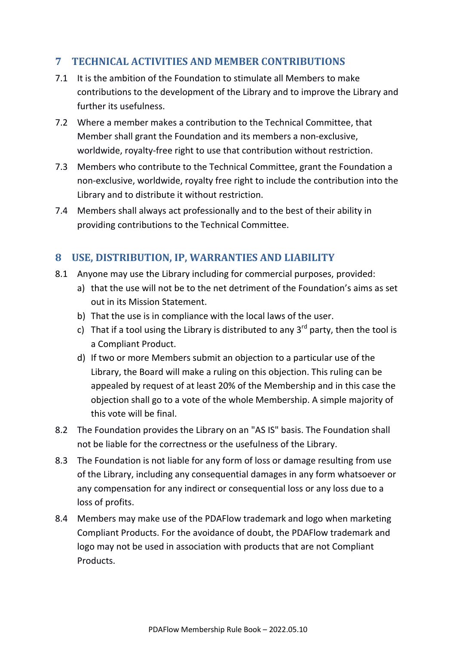## **7 TECHNICAL ACTIVITIES AND MEMBER CONTRIBUTIONS**

- 7.1 It is the ambition of the Foundation to stimulate all Members to make contributions to the development of the Library and to improve the Library and further its usefulness.
- 7.2 Where a member makes a contribution to the Technical Committee, that Member shall grant the Foundation and its members a non-exclusive, worldwide, royalty-free right to use that contribution without restriction.
- 7.3 Members who contribute to the Technical Committee, grant the Foundation a non-exclusive, worldwide, royalty free right to include the contribution into the Library and to distribute it without restriction.
- 7.4 Members shall always act professionally and to the best of their ability in providing contributions to the Technical Committee.

### **8 USE, DISTRIBUTION, IP, WARRANTIES AND LIABILITY**

- 8.1 Anyone may use the Library including for commercial purposes, provided:
	- a) that the use will not be to the net detriment of the Foundation's aims as set out in its Mission Statement.
	- b) That the use is in compliance with the local laws of the user.
	- c) That if a tool using the Library is distributed to any  $3^{rd}$  party, then the tool is a Compliant Product.
	- d) If two or more Members submit an objection to a particular use of the Library, the Board will make a ruling on this objection. This ruling can be appealed by request of at least 20% of the Membership and in this case the objection shall go to a vote of the whole Membership. A simple majority of this vote will be final.
- 8.2 The Foundation provides the Library on an "AS IS" basis. The Foundation shall not be liable for the correctness or the usefulness of the Library.
- 8.3 The Foundation is not liable for any form of loss or damage resulting from use of the Library, including any consequential damages in any form whatsoever or any compensation for any indirect or consequential loss or any loss due to a loss of profits.
- 8.4 Members may make use of the PDAFlow trademark and logo when marketing Compliant Products. For the avoidance of doubt, the PDAFlow trademark and logo may not be used in association with products that are not Compliant Products.